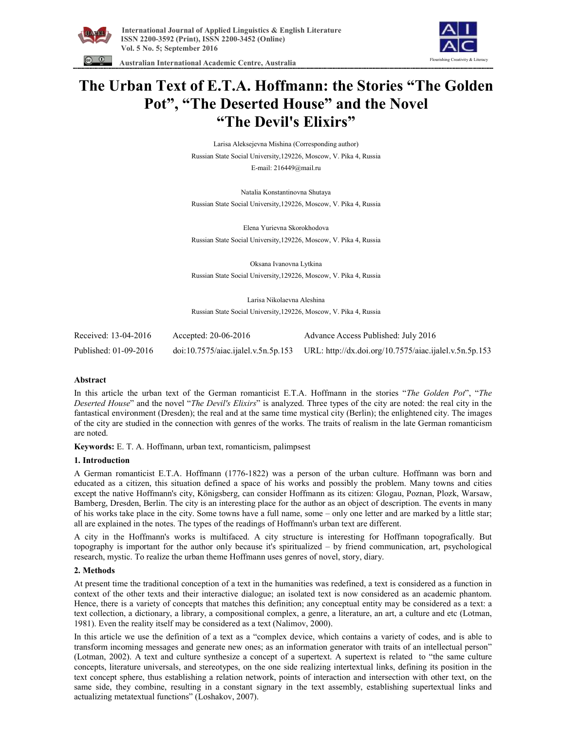



 **Australian International Academic Centre, Australia** 

# **The Urban Text of E.T.A. Hoffmann: the Stories "The Golden Pot" , "The Deserted House" and the Novel "The Devil's Elixirs"**

Larisa Aleksejevna Mishina (Corresponding author) Russian State Social University,129226, Moscow, V. Pika 4, Russia E-mail: 216449@mail.ru

Natalia Konstantinovna Shutaya Russian State Social University,129226, Moscow, V. Pika 4, Russia

Elena Yurievna Skorokhodova Russian State Social University,129226, Moscow, V. Pika 4, Russia

Oksana Ivanovna Lytkina Russian State Social University,129226, Moscow, V. Pika 4, Russia

Larisa Nikolaevna Aleshina

Russian State Social University,129226, Moscow, V. Pika 4, Russia

| Received: 13-04-2016  | Accepted: $20-06-2016$ | Advance Access Published: July 2016                                                                      |
|-----------------------|------------------------|----------------------------------------------------------------------------------------------------------|
| Published: 01-09-2016 |                        | $\frac{1}{2}$ doi:10.7575/aiac.ijalel.v.5n.5p.153 URL: http://dx.doi.org/10.7575/aiac.ijalel.v.5n.5p.153 |

#### **Abstract**

In this article the urban text of the German romanticist E.T.A. Hoffmann in the stories "*The Golden Pot*", "*The Deserted House*" and the novel "*The Devil's Elixirs*" is analyzed. Three types of the city are noted: the real city in the fantastical environment (Dresden); the real and at the same time mystical city (Berlin); the enlightened city. The images of the city are studied in the connection with genres of the works. The traits of realism in the late German romanticism are noted.

**Keywords:** E. T. A. Hoffmann, urban text, romanticism, palimpsest

#### **1. Introduction**

A German romanticist E.T.A. Hoffmann (1776-1822) was a person of the urban culture. Hoffmann was born and educated as a citizen, this situation defined a space of his works and possibly the problem. Many towns and cities except the native Hoffmann's city, Königsberg, can consider Hoffmann as its citizen: Glogau, Poznan, Plozk, Warsaw, Bamberg, Dresden, Berlin. The city is an interesting place for the author as an object of description. The events in many of his works take place in the city. Some towns have a full name, some – only one letter and are marked by a little star; all are explained in the notes. The types of the readings of Hoffmann's urban text are different.

A city in the Hoffmann's works is multifaced. A city structure is interesting for Hoffmann topografically. But topography is important for the author only because it's spiritualized – by friend communication, art, psychological research, mystic. To realize the urban theme Hoffmann uses genres of novel, story, diary.

# **2. Methods**

At present time the traditional conception of a text in the humanities was redefined, a text is considered as a function in context of the other texts and their interactive dialogue; an isolated text is now considered as an academic phantom. Hence, there is a variety of concepts that matches this definition; any conceptual entity may be considered as a text: a text collection, a dictionary, a library, a compositional complex, a genre, a literature, an art, a culture and etc (Lotman, 1981). Even the reality itself may be considered as a text (Nalimov, 2000).

In this article we use the definition of a text as a "complex device, which contains a variety of codes, and is able to transform incoming messages and generate new ones; as an information generator with traits of an intellectual person" (Lotman, 2002). A text and culture synthesize a concept of a supertext. A supertext is related to "the same culture concepts, literature universals, and stereotypes, on the one side realizing intertextual links, defining its position in the text concept sphere, thus establishing a relation network, points of interaction and intersection with other text, on the same side, they combine, resulting in a constant signary in the text assembly, establishing supertextual links and actualizing metatextual functions" (Loshakov, 2007).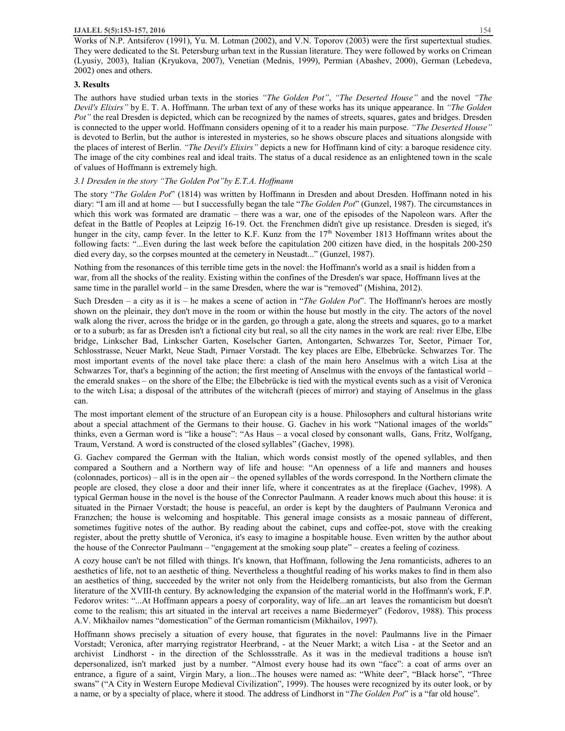Works of N.P. Antsiferov (1991), Yu. M. Lotman (2002), and V.N. Toporov (2003) were the first supertextual studies. They were dedicated to the St. Petersburg urban text in the Russian literature. They were followed by works on Crimean (Lyusiy, 2003), Italian (Kryukova, 2007), Venetian (Mednis, 1999), Permian (Abashev, 2000), German (Lebedeva, 2002) ones and others.

# **3. Results**

The authors have studied urban texts in the stories *"The Golden Pot"*, *"The Deserted House"* and the novel *"The Devil's Elixirs"* by E. T. A. Hoffmann. The urban text of any of these works has its unique appearance. In *"The Golden Pot"* the real Dresden is depicted, which can be recognized by the names of streets, squares, gates and bridges. Dresden is connected to the upper world. Hoffmann considers opening of it to a reader his main purpose. *"The Deserted House"* is devoted to Berlin, but the author is interested in mysteries, so he shows obscure places and situations alongside with the places of interest of Berlin. *"The Devil's Elixirs"* depicts a new for Hoffmann kind of city: a baroque residence city. The image of the city combines real and ideal traits. The status of a ducal residence as an enlightened town in the scale of values of Hoffmann is extremely high.

# *3.1 Dresden in the story "The Golden Pot"by E.T.A. Hoffmann*

The story "*The Golden Pot*" (1814) was written by Hoffmann in Dresden and about Dresden. Hoffmann noted in his diary: "I am ill and at home — but I successfully began the tale "*The Golden Pot*" (Gunzel, 1987). The circumstances in which this work was formated are dramatic – there was a war, one of the episodes of the Napoleon wars. After the defeat in the Battle of Peoples at Leipzig 16-19. Oct. the Frenchmen didn't give up resistance. Dresden is sieged, it's hunger in the city, camp fever. In the letter to K.F. Kunz from the 17<sup>th</sup> November 1813 Hoffmann writes about the following facts: "...Even during the last week before the capitulation 200 citizen have died, in the hospitals 200-250 died every day, so the corpses mounted at the cemetery in Neustadt..." (Gunzel, 1987).

Nothing from the resonances of this terrible time gets in the novel: the Hoffmann's world as a snail is hidden from a war, from all the shocks of the reality. Existing within the confines of the Dresden's war space, Hoffmann lives at the same time in the parallel world – in the same Dresden, where the war is "removed" (Mishina, 2012).

Such Dresden – a city as it is – he makes a scene of action in "*The Golden Pot*". The Hoffmann's heroes are mostly shown on the pleinair, they don't move in the room or within the house but mostly in the city. The actors of the novel walk along the river, across the bridge or in the garden, go through a gate, along the streets and squares, go to a market or to a suburb; as far as Dresden isn't a fictional city but real, so all the city names in the work are real: river Elbe, Elbe bridge, Linkscher Bad, Linkscher Garten, Koselscher Garten, Antongarten, Schwarzes Tor, Seetor, Pirnaer Tor, Schlosstrasse, Neuer Markt, Neue Stadt, Pirnaer Vorstadt. The key places are Elbe, Elbebrücke. Schwarzes Tor. The most important events of the novel take place there: a clash of the main hero Anselmus with a witch Lisa at the Schwarzes Tor, that's a beginning of the action; the first meeting of Anselmus with the envoys of the fantastical world – the emerald snakes – on the shore of the Elbe; the Elbebrücke is tied with the mystical events such as a visit of Veronica to the witch Lisa; a disposal of the attributes of the witchcraft (pieces of mirror) and staying of Anselmus in the glass can.

The most important element of the structure of an European city is a house. Philosophers and cultural historians write about a special attachment of the Germans to their house. G. Gachev in his work "National images of the worlds" thinks, even a German word is "like a house": "As Haus – a vocal closed by consonant walls, Gans, Fritz, Wolfgang, Traum, Verstand. A word is constructed of the closed syllables" (Gachev, 1998).

G. Gachev compared the German with the Italian, which words consist mostly of the opened syllables, and then compared a Southern and a Northern way of life and house: "An openness of a life and manners and houses (colonnades, porticos) – all is in the open air – the opened syllables of the words correspond. In the Northern climate the people are closed, they close a door and their inner life, where it concentrates as at the fireplace (Gachev, 1998). A typical German house in the novel is the house of the Conrector Paulmann. A reader knows much about this house: it is situated in the Pirnaer Vorstadt; the house is peaceful, an order is kept by the daughters of Paulmann Veronica and Franzchen; the house is welcoming and hospitable. This general image consists as a mosaic panneau of different, sometimes fugitive notes of the author. By reading about the cabinet, cups and coffee-pot, stove with the creaking register, about the pretty shuttle of Veronica, it's easy to imagine a hospitable house. Even written by the author about the house of the Сonrector Paulmann – "engagement at the smoking soup plate" – creates a feeling of coziness.

A cozy house can't be not filled with things. It's known, that Hoffmann, following the Jena romanticists, adheres to an aesthetics of life, not to an aesthetic of thing. Nevertheless a thoughtful reading of his works makes to find in them also an aesthetics of thing, succeeded by the writer not only from the Heidelberg romanticists, but also from the German literature of the XVIII-th century. By acknowledging the expansion of the material world in the Hoffmann's work, F.P. Fedorov writes: "...At Hoffmann appears a poesy of corporality, way of life...an art leaves the romanticism but doesn't come to the realism; this art situated in the interval art receives a name Biedermeyer" (Fedorov, 1988). This process A.V. Mikhailov names "domestication" of the German romanticism (Mikhailov, 1997).

Hoffmann shows precisely a situation of every house, that figurates in the novel: Paulmanns live in the Pirnaer Vorstadt; Veronica, after marrying registrator Heerbrand, - at the Neuer Markt; a witch Lisa - at the Seetor and an archivist Lindhorst - in the direction of the Schlossstraße. As it was in the medieval traditions a house isn't depersonalized, isn't marked just by a number. "Almost every house had its own "face": a coat of arms over an entrance, a figure of a saint, Virgin Mary, a lion...The houses were named as: "White deer", "Black horse", "Three swans" ("A City in Western Europe Medieval Civilization", 1999). The houses were recognized by its outer look, or by a name, or by a specialty of place, where it stood. The address of Lindhorst in "*The Golden Pot*" is a "far old house".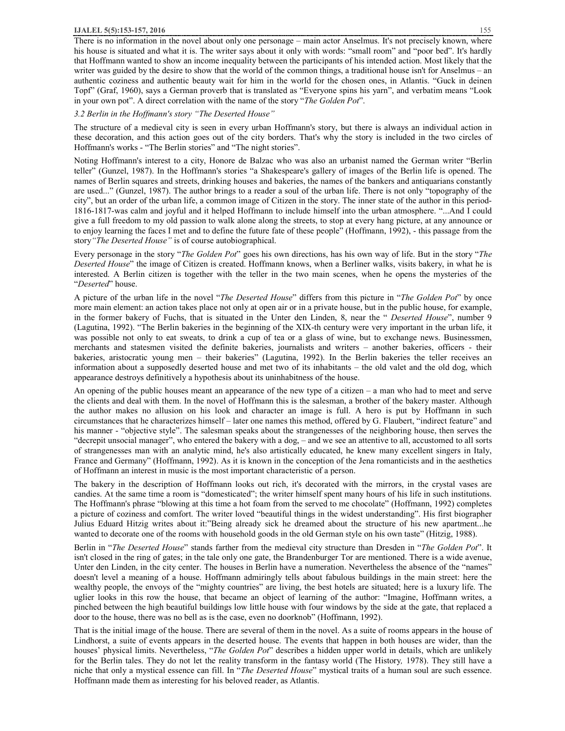There is no information in the novel about only one personage – main actor Anselmus. It's not precisely known, where his house is situated and what it is. The writer says about it only with words: "small room" and "poor bed". It's hardly that Hoffmann wanted to show an income inequality between the participants of his intended action. Most likely that the writer was guided by the desire to show that the world of the common things, a traditional house isn't for Anselmus – an authentic coziness and authentic beauty wait for him in the world for the chosen ones, in Atlantis. "Guck in deinen Topf" (Graf, 1960), says a German proverb that is translated as "Everyone spins his yarn", and verbatim means "Look in your own pot". A direct correlation with the name of the story "*The Golden Pot*".

#### *3.2 Berlin in the Hoffmann's story "The Deserted House"*

The structure of a medieval city is seen in every urban Hoffmann's story, but there is always an individual action in these decoration, and this action goes out of the city borders. That's why the story is included in the two circles of Hoffmann's works - "The Berlin stories" and "The night stories".

Noting Hoffmann's interest to a city, Honore de Balzac who was also an urbanist named the German writer "Berlin teller" (Gunzel, 1987). In the Hoffmann's stories "a Shakespeare's gallery of images of the Berlin life is opened. The names of Berlin squares and streets, drinking houses and bakeries, the names of the bankers and antiquarians constantly are used..." (Gunzel, 1987). The author brings to a reader a soul of the urban life. There is not only "topography of the city", but an order of the urban life, a common image of Citizen in the story. The inner state of the author in this period-1816-1817-was calm and joyful and it helped Hoffmann to include himself into the urban atmosphere. "...And I could give a full freedom to my old passion to walk alone along the streets, to stop at every hang picture, at any announce or to enjoy learning the faces I met and to define the future fate of these people" (Hoffmann, 1992), - this passage from the story*"The Deserted House"* is of course autobiographical.

Every personage in the story "*The Golden Pot*" goes his own directions, has his own way of life. But in the story "*The Deserted House*" the image of Citizen is created. Hoffmann knows, when a Berliner walks, visits bakery, in what he is interested. A Berlin citizen is together with the teller in the two main scenes, when he opens the mysteries of the "*Deserted*" house.

A picture of the urban life in the novel "*The Deserted House*" differs from this picture in "*The Golden Pot*" by once more main element: an action takes place not only at open air or in a private house, but in the public house, for example, in the former bakery of Fuchs, that is situated in the Unter den Linden, 8, near the " *Deserted House*", number 9 (Lagutina, 1992). "The Berlin bakeries in the beginning of the XIX-th century were very important in the urban life, it was possible not only to eat sweats, to drink a cup of tea or a glass of wine, but to exchange news. Businessmen, merchants and statesmen visited the definite bakeries, journalists and writers – another bakeries, officers - their bakeries, aristocratic young men – their bakeries" (Lagutina, 1992). In the Berlin bakeries the teller receives an information about a supposedly deserted house and met two of its inhabitants – the old valet and the old dog, which appearance destroys definitively a hypothesis about its uninhabitness of the house.

An opening of the public houses meant an appearance of the new type of a citizen – a man who had to meet and serve the clients and deal with them. In the novel of Hoffmann this is the salesman, a brother of the bakery master. Although the author makes no allusion on his look and character an image is full. A hero is put by Hoffmann in such circumstances that he characterizes himself – later one names this method, offered by G. Flaubert, "indirect feature" and his manner - "objective style". The salesman speaks about the strangenesses of the neighboring house, then serves the "decrepit unsocial manager", who entered the bakery with a dog, – and we see an attentive to all, accustomed to all sorts of strangenesses man with an analytic mind, he's also artistically educated, he knew many excellent singers in Italy, France and Germany" (Hoffmann, 1992). As it is known in the conception of the Jena romanticists and in the aesthetics of Hoffmann an interest in music is the most important characteristic of a person.

The bakery in the description of Hoffmann looks out rich, it's decorated with the mirrors, in the crystal vases are candies. At the same time a room is "domesticated"; the writer himself spent many hours of his life in such institutions. The Hoffmann's phrase "blowing at this time a hot foam from the served to me chocolate" (Hoffmann, 1992) completes a picture of coziness and comfort. The writer loved "beautiful things in the widest understanding". His first biographer Julius Eduard Hitzig writes about it:"Being already sick he dreamed about the structure of his new apartment...he wanted to decorate one of the rooms with household goods in the old German style on his own taste" (Hitzig, 1988).

Berlin in "*The Deserted House*" stands farther from the medieval city structure than Dresden in "*The Golden Pot*". It isn't closed in the ring of gates; in the tale only one gate, the Brandenburger Tor are mentioned. There is a wide avenue, Unter den Linden, in the city center. The houses in Berlin have a numeration. Nevertheless the absence of the "names" doesn't level a meaning of a house. Hoffmann admiringly tells about fabulous buildings in the main street: here the wealthy people, the envoys of the "mighty countries" are living, the best hotels are situated; here is a luxury life. The uglier looks in this row the house, that became an object of learning of the author: "Imagine, Hoffmann writes, a pinched between the high beautiful buildings low little house with four windows by the side at the gate, that replaced a door to the house, there was no bell as is the case, even no doorknob" (Hoffmann, 1992).

That is the initial image of the house. There are several of them in the novel. As a suite of rooms appears in the house of Lindhorst, a suite of events appears in the deserted house. The events that happen in both houses are wider, than the houses' physical limits. Nevertheless, "*The Golden Pot*" describes a hidden upper world in details, which are unlikely for the Berlin tales. They do not let the reality transform in the fantasy world (The History*,* 1978). They still have a niche that only a mystical essence can fill. In "*The Deserted House*" mystical traits of a human soul are such essence. Hoffmann made them as interesting for his beloved reader, as Atlantis.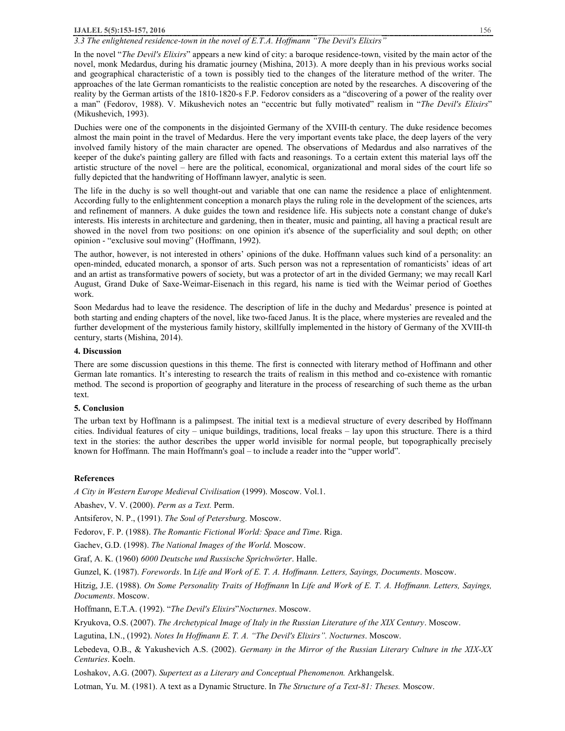#### **IJALEL 5(5):153-157, 2016** 156

# *3.3 The enlightened residence-town in the novel of E.T.A. Hoffmann "The Devil's Elixirs"*

In the novel "*The Devil's Elixirs*" appears a new kind of city: a baroque residence-town, visited by the main actor of the novel, monk Medardus, during his dramatic journey (Mishina, 2013). A more deeply than in his previous works social and geographical characteristic of a town is possibly tied to the changes of the literature method of the writer. The approaches of the late German romanticists to the realistic conception are noted by the researches. A discovering of the reality by the German artists of the 1810-1820-s F.P. Fedorov considers as a "discovering of a power of the reality over a man" (Fedorov, 1988). V. Mikushevich notes an "eccentric but fully motivated" realism in "*The Devil's Elixirs*" (Mikushevich, 1993).

Duchies were one of the components in the disjointed Germany of the XVIII-th century. The duke residence becomes almost the main point in the travel of Medardus. Here the very important events take place, the deep layers of the very involved family history of the main character are opened. The observations of Medardus and also narratives of the keeper of the duke's painting gallery are filled with facts and reasonings. To a certain extent this material lays off the artistic structure of the novel – here are the political, economical, organizational and moral sides of the court life so fully depicted that the handwriting of Hoffmann lawyer, analytic is seen.

The life in the duchy is so well thought-out and variable that one can name the residence a place of enlightenment. According fully to the enlightenment conception a monarch plays the ruling role in the development of the sciences, arts and refinement of manners. A duke guides the town and residence life. His subjects note a constant change of duke's interests. His interests in architecture and gardening, then in theater, music and painting, all having a practical result are showed in the novel from two positions: on one opinion it's absence of the superficiality and soul depth; on other opinion - "exclusive soul moving" (Hoffmann, 1992).

The author, however, is not interested in others' opinions of the duke. Hoffmann values such kind of a personality: an open-minded, educated monarch, a sponsor of arts. Such person was not a representation of romanticists' ideas of art and an artist as transformative powers of society, but was a protector of art in the divided Germany; we may recall Karl August, Grand Duke of Saxe-Weimar-Eisenach in this regard, his name is tied with the Weimar period of Goethes work.

Soon Medardus had to leave the residence. The description of life in the duchy and Medardus' presence is pointed at both starting and ending chapters of the novel, like two-faced Janus. It is the place, where mysteries are revealed and the further development of the mysterious family history, skillfully implemented in the history of Germany of the XVIII-th century, starts (Mishina, 2014).

#### **4. Discussion**

There are some discussion questions in this theme. The first is connected with literary method of Hoffmann and other German late romantics. It's interesting to research the traits of realism in this method and co-existence with romantic method. The second is proportion of geography and literature in the process of researching of such theme as the urban text.

# **5. Conclusion**

The urban text by Hoffmann is a palimpsest. The initial text is a medieval structure of every described by Hoffmann cities. Individual features of city – unique buildings, traditions, local freaks – lay upon this structure. There is a third text in the stories: the author describes the upper world invisible for normal people, but topographically precisely known for Hoffmann. The main Hoffmann's goal – to include a reader into the "upper world".

# **References**

*A City in Western Europe Medieval Civilisation* (1999). Moscow. Vol.1.

Abashev, V. V. (2000). *Perm as a Text.* Perm.

Antsiferov, N. P., (1991). *The Soul of Petersburg*. Moscow.

Fedorov, F. P. (1988). *The Romantiс Fictional World: Space and Time*. Riga.

Gachev, G.D. (1998). *The National Images of the World*. Moscow.

Graf, A. K. (1960) *6000 Deutsche und Russische Sprichwörter*. Halle.

Gunzel, K. (1987). *Forewords*. In *Life and Work of E. T. A. Hoffmann. Letters, Sayings, Documents*. Moscow.

Hitzig, J.E. (1988). On Some Personality Traits of Hoffmann In Life and Work of E. T. A. Hoffmann. Letters, Sayings, *Documents*. Moscow.

Hoffmann, E.T.A. (1992). "*The Devil's Elixirs*"*Nocturnes*. Moscow.

Kryukova, O.S. (2007). *The Archetypical Image of Italy in the Russian Literature of the XIX Century*. Moscow.

Lagutina, I.N., (1992). *Notes In Hoffmann E. T. A. "The Devil's Elixirs". Nocturnes*. Moscow.

Lebedeva, O.B., & Yakushevich A.S. (2002). *Germany in the Mirror of the Russian Literary Culture in the XIX-XX Centuries*. Koeln.

Loshakov, A.G. (2007). *Supertext as a Literary and Conceptual Phenomenon.* Arkhangelsk.

Lotman, Yu. M. (1981). A text as a Dynamic Structure. In *The Structure of a Text-81: Theses.* Moscow.